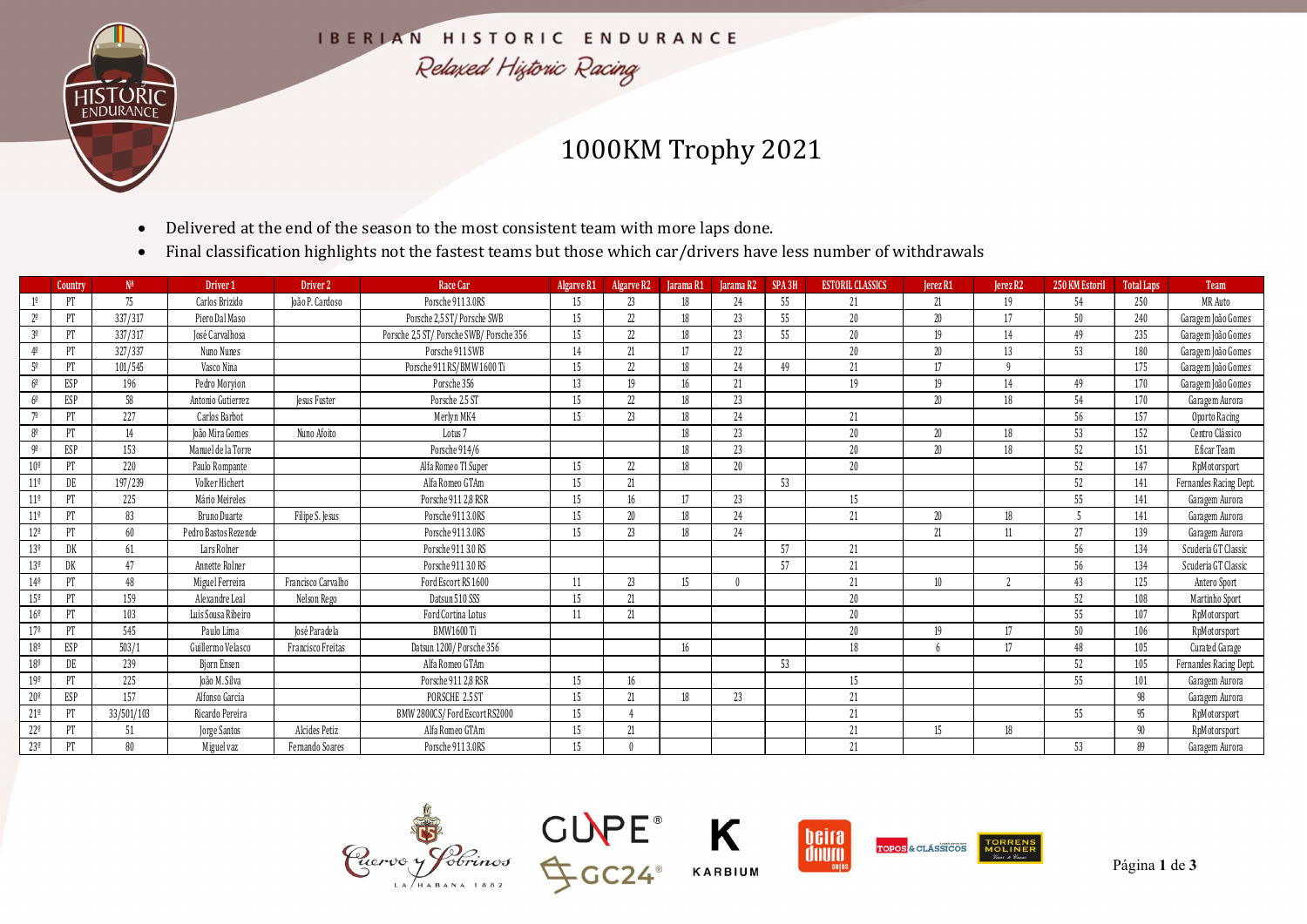

## 1000KM Trophy 2021

- Delivered at the end of the season to the most consistent team with more laps done.
- Final classification highlights not the fastest teams but those which car/drivers have less number of withdrawals

|                                                    | $\bullet$           | Delivered at the end of the season to the most consistent team with more laps done. |                     |                                                                                                                   |            |         |                                             |          |    |                         |          |           |                |                   |                                |
|----------------------------------------------------|---------------------|-------------------------------------------------------------------------------------|---------------------|-------------------------------------------------------------------------------------------------------------------|------------|---------|---------------------------------------------|----------|----|-------------------------|----------|-----------|----------------|-------------------|--------------------------------|
|                                                    | $\bullet$           |                                                                                     |                     | Final classification highlights not the fastest teams but those which car/drivers have less number of withdrawals |            |         |                                             |          |    |                         |          |           |                |                   |                                |
| Country                                            | $N^{\underline{a}}$ | Driver 1                                                                            | Driver 2            | Race Car                                                                                                          | Algarve R1 |         | Algarve R2   Jarama R1   Jarama R2   SPA 3H |          |    | <b>ESTORIL CLASSICS</b> | Jerez R1 | [erez R2] | 250 KM Estoril | <b>Total Laps</b> | Team                           |
| PT                                                 | 75                  | Carlos Brizido                                                                      | João P. Cardoso     | Porsche 911 3.0RS                                                                                                 | 15         | 23      | 18                                          | 24       | 55 | 21                      | 21       | 19        | 54             | 250               | MR Auto                        |
| PT<br>2 <sup>o</sup>                               | 337/317             | Piero Dal Maso                                                                      |                     | Porsche 2,5 ST/Porsche SWB                                                                                        | 15         | 22      | 18                                          | 23       | 55 | 20                      | 20       | 17        | 50             | 240               | Garagem João Gomes             |
| 3 <sup>o</sup><br>PT                               | 337/317             | José Carvalhosa                                                                     |                     | Porsche 2,5 ST/Porsche SWB/Porsche 356                                                                            | 15         | 22      | 18                                          | 23       | 55 | 20                      | 19       | 14        | 49             | 235               | Garagem João Gomes             |
| PT<br>$4^{o}$                                      | 327/337             | Nuno Nunes                                                                          |                     | Porsche 911 SWB                                                                                                   | 14         | 21      | 17                                          | 22       |    | 20                      | 20       | 13        | 53             | 180               | Garagem João Gomes             |
| $5^{\circ}$<br>PT                                  | 101/545             | Vasco Nina                                                                          |                     | Porsche 911 RS/BMW 1600 Ti                                                                                        | 15         | 22      | 18                                          | 24       | 49 | 21                      | 17       | g         |                | 175               | Garagem João Gomes             |
| ESP<br>$6^{\circ}$                                 | 196                 | Pedro Moryion                                                                       |                     | Porsche 356                                                                                                       | 13         | 19      | 16                                          | 21       |    | 19                      | 19       | 14        | 49             | 170               | Garagem João Gomes             |
| ESP<br>$6^{\circ}$<br>$70^{\circ}$                 | 58                  | Antonio Gutierrez                                                                   | <b>Jesus Fuster</b> | Porsche 2.5 ST                                                                                                    | 15         | 22      | 18                                          | 23       |    |                         | 20       | 18        | 54             | 170               | Garagem Aurora                 |
| PT                                                 | 227                 | Carlos Barbot                                                                       |                     | Merlyn MK4                                                                                                        | 15         | 23      | 18                                          | 24       |    | 21                      |          |           | 56             | 157               | Oporto Racing                  |
| $\mathbb{P}\mathbb{T}$<br>$8^{\circ}$<br>9º<br>ESP | 14<br>153           | João Mira Gomes<br>Manuel de la Torre                                               | Nuno Afoito         | Lotus <sub>7</sub><br>Porsche 914/6                                                                               |            |         | 18<br>18                                    | 23<br>23 |    | 20<br>20                | 20<br>20 | 18<br>18  | 53<br>52       | 152<br>151        | Centro Clássico<br>Eficar Team |
| $10^{\circ}$<br>PT                                 | 220                 | Paulo Rompante                                                                      |                     | Alfa Romeo TI Super                                                                                               | 15         | 22      | 18                                          | 20       |    | 20                      |          |           | 52             | 147               | RpMotorsport                   |
| $11^{\circ}$<br>DE                                 | 197/239             | Volker Hichert                                                                      |                     | Alfa Romeo GTAm                                                                                                   | 15         | 21      |                                             |          | 53 |                         |          |           | 52             | 141               | Fernandes Racing Dept.         |
| PT<br>$11^{\circ}$                                 | 225                 | Mário Meireles                                                                      |                     | Porsche 911 2,8 RSR                                                                                               | 15         | 16      | 17                                          | 23       |    | 15                      |          |           | 55             | 141               | Garagem Aurora                 |
|                                                    | 83                  | <b>Bruno Duarte</b>                                                                 | Filipe S. Jesus     | Porsche 911 3.0RS                                                                                                 | 15         | 20      | 18                                          | 24       |    | 21                      | 20       | 18        | -5             | 141               | Garagem Aurora                 |
| PT                                                 | 60                  | Pedro Bastos Rezende                                                                |                     | Porsche 911 3.0RS                                                                                                 | 15         | 23      | 18                                          | 24       |    |                         | 21       | 11        | 27             | 139               | Garagem Aurora                 |
| $11^{\circ}$<br>$12^{\circ}$<br>PT                 |                     |                                                                                     |                     |                                                                                                                   |            |         |                                             |          |    |                         |          |           |                |                   |                                |
| 13 <sup>°</sup><br>DK                              | 61                  | Lars Rolner                                                                         |                     | Porsche 911 3.0 RS                                                                                                |            |         |                                             |          | 57 | 21                      |          |           | 56             | 134               | Scuderia GT Classic            |
| 13 <sup>°</sup><br>DK                              | 47                  | Annette Rolner                                                                      |                     | Porsche 911 3.0 RS                                                                                                |            |         |                                             |          | 57 | 21                      |          |           | 56             | 134               | Scuderia GT Classic            |
| $14^{\circ}$<br>$\mathbb{P}\mathbb{T}$             | 48                  | Miguel Ferreira                                                                     | Francisco Carvalho  | Ford Escort RS 1600                                                                                               | - 11       | 23      | 15                                          |          |    | 21                      | 10       |           | 43             | 125               | Antero Sport                   |
| $15^{\circ}$<br>PT                                 | 159                 | Alexandre Leal                                                                      | Nelson Rego         | Datsun 510 SSS                                                                                                    | 15         | 21      |                                             |          |    | 20 <sup>°</sup>         |          |           | 52             | 108               | Martinho Sport                 |
| $16^{\circ}$<br>PT                                 | 103                 | Luis Sousa Ribeiro                                                                  |                     | Ford Cortina Lotus                                                                                                | -11        | 21      |                                             |          |    | $20\,$                  |          |           | 55             | 107               | RpMotorsport                   |
| $17^{\circ}$<br>PT                                 | 545                 | Paulo Lima                                                                          | José Paradela       | BMW1600 Ti                                                                                                        |            |         |                                             |          |    | $20\,$                  | 19       | 17        | 50             | 106               | RpMotorsport                   |
| $18^{\circ}$<br>ESP                                | 503/1               | Guillermo Velasco                                                                   | Francisco Freitas   | Datsun 1200/Porsche 356                                                                                           |            |         | 16                                          |          |    | 18                      | -6       | 17        | 48             | 105               | Curated Garage                 |
| $18^{\circ}$<br>DE                                 | 239                 | <b>Bjorn Ensen</b>                                                                  |                     | Alfa Romeo GTAm                                                                                                   |            |         |                                             |          | 53 |                         |          |           | 52             | 105               | Fernandes Racing Dept.         |
| 19 <sup>°</sup><br>PT                              | 225                 | João M. Silva                                                                       |                     | Porsche 911 2,8 RSR                                                                                               | 15         | 16      |                                             |          |    | 15                      |          |           | 55             | 101               | Garagem Aurora                 |
| $20^{\circ}$<br>ESP                                | 157                 | Alfonso Garcia                                                                      |                     | PORSCHE 2.5 ST                                                                                                    | 15         | 21      | 18                                          | 23       |    | 21                      |          |           |                | 98                | Garagem Aurora                 |
| $21^{\circ}$<br>PT<br>$22^{\circ}$<br>PT           | 33/501/103<br>51    | Ricardo Pereira<br>Jorge Santos                                                     | Alcides Petiz       | BMW 2800CS/Ford Escort RS2000<br>Alfa Romeo GTAm                                                                  | 15<br>15   | 4<br>21 |                                             |          |    | 21<br>21                | 15       | 18        | 55             | 95<br>90          | RpMotorsport<br>RpMotorsport   |









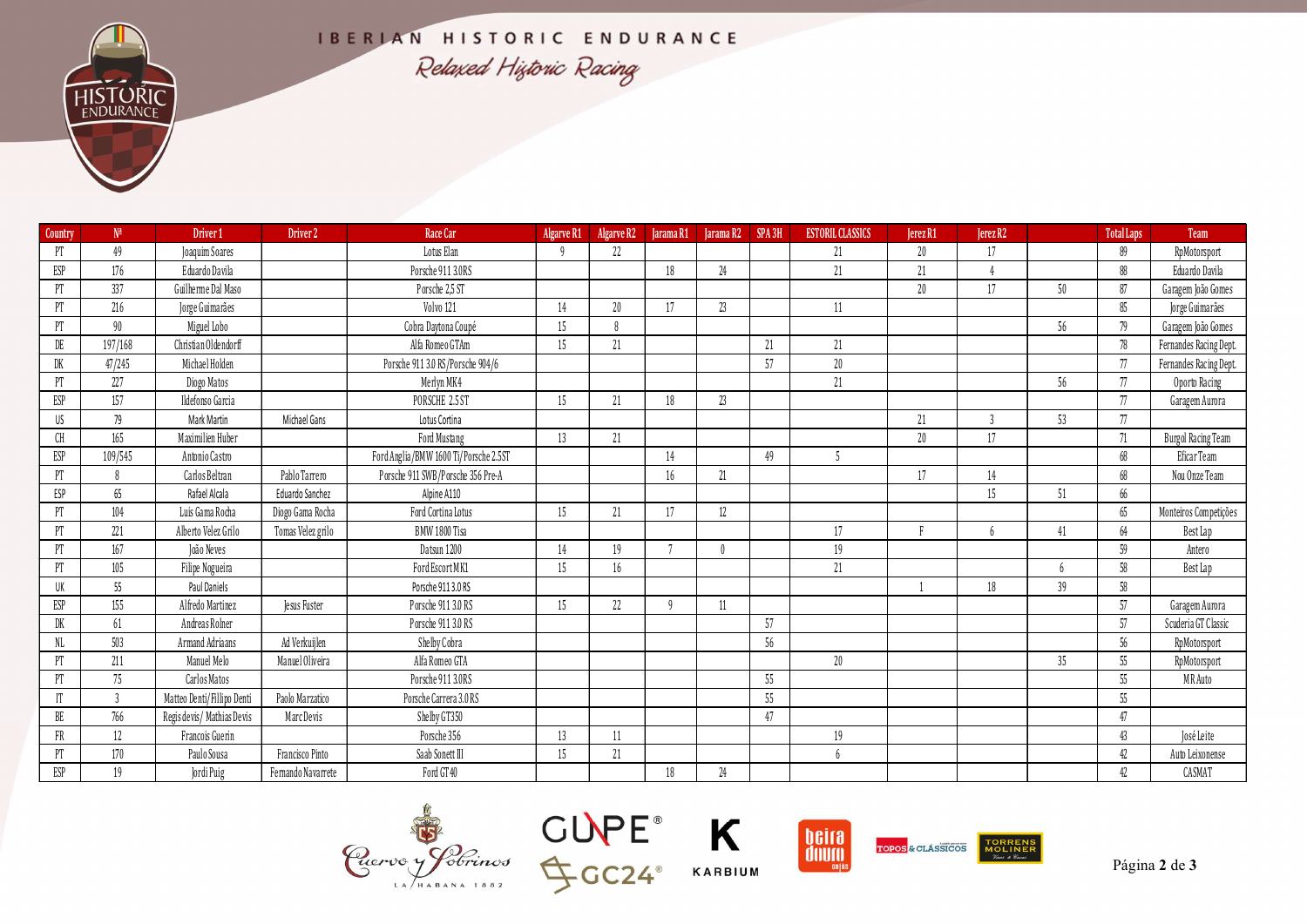|                        |                     |                                     |                    |                                        |          |                                                        |     | IBERIAN HISTORIC ENDURANCE<br>Relaxed Historic Racing |    |                         |          |                  |        |                   |                                              |  |  |  |  |
|------------------------|---------------------|-------------------------------------|--------------------|----------------------------------------|----------|--------------------------------------------------------|-----|-------------------------------------------------------|----|-------------------------|----------|------------------|--------|-------------------|----------------------------------------------|--|--|--|--|
|                        |                     |                                     |                    |                                        |          |                                                        |     |                                                       |    |                         |          |                  |        |                   |                                              |  |  |  |  |
| Country                | $N^{\underline{a}}$ | Driver 1                            | Driver 2           | Race Car                               |          | Algarve R1 Algarve R2   Jarama R1   Jarama R2   SPA 3H |     |                                                       |    | <b>ESTORIL CLASSICS</b> | Jerez R1 | Jerez R2         |        | <b>Total Laps</b> | Team                                         |  |  |  |  |
| PT                     | 49                  | Joaquim Soares                      |                    | Lotus Elan                             |          | 22                                                     |     |                                                       |    | 21                      | 20       | 17               |        | 89                | RpMotorsport                                 |  |  |  |  |
| ESP                    | 176                 | Eduardo Davila                      |                    | Porsche 911 3.0RS                      |          |                                                        | 18  | 24                                                    |    | 21                      | 21       |                  |        | 88                | Eduardo Davila                               |  |  |  |  |
| PT                     | 337                 | Guilherme Dal Maso                  |                    | Porsche 2,5 ST                         |          |                                                        |     |                                                       |    |                         | 20       | 17               | 50     | 87                | Garagem João Gomes                           |  |  |  |  |
| PT                     | 216                 | Jorge Guimarães                     |                    | Volvo 121                              | 14       | 20<br>-8                                               | 17  | 23                                                    |    | 11                      |          |                  |        | 85                | Jorge Guimarães                              |  |  |  |  |
| PT<br>DE               | 90<br>197/168       | Miguel Lobo<br>Christian Oldendorff |                    | Cobra Daytona Coupé<br>Alfa Romeo GTAm | 15<br>15 | 21                                                     |     |                                                       | 21 | 21                      |          |                  | 56     | 79<br>78          | Garagem João Gomes<br>Fernandes Racing Dept. |  |  |  |  |
| DK                     | 47/245              | Michael Holden                      |                    | Porsche 911 3.0 RS/Porsche 904/6       |          |                                                        |     |                                                       | 57 | $20\,$                  |          |                  |        | 77                | Fernandes Racing Dept.                       |  |  |  |  |
| PT                     | 227                 | Diogo Matos                         |                    | Merlyn MK4                             |          |                                                        |     |                                                       |    | 21                      |          |                  | 56     | 77                | Oporto Racing                                |  |  |  |  |
| ESP                    | 157                 | Ildefonso Garcia                    |                    | PORSCHE 2.5 ST                         | 15       | 21                                                     | 18  | 23                                                    |    |                         |          |                  |        | 77                | Garagem Aurora                               |  |  |  |  |
| US                     | 79                  | Mark Martin                         | Michael Gans       | Lotus Cortina                          |          |                                                        |     |                                                       |    |                         | 21       |                  | 53     | 77                |                                              |  |  |  |  |
| $\mathbb{C}\mathbb{H}$ | 165                 | Maximilien Huber                    |                    | Ford Mustang                           | 13       | 21                                                     |     |                                                       |    |                         | 20       | 17               |        | 71                | <b>Burgol Racing Team</b>                    |  |  |  |  |
| ESP                    | 109/545             | Antonio Castro                      |                    | Ford Anglia/BMW 1600 Ti/Porsche 2.5ST  |          |                                                        | 14  |                                                       | 49 |                         |          |                  |        | 68                | Eficar Team                                  |  |  |  |  |
| PT                     | 8                   | Carlos Beltran                      | Pablo Tarrero      | Porsche 911 SWB/Porsche 356 Pre-A      |          |                                                        | 16  | 21                                                    |    |                         | 17       | 14               |        | 68                | Nou Onze Team                                |  |  |  |  |
| ESP                    | 65                  | Rafael Alcala                       | Eduardo Sanchez    | Alpine A110                            |          |                                                        |     |                                                       |    |                         |          | 15 <sup>15</sup> | 51     | 66                |                                              |  |  |  |  |
| PT                     | 104                 | Luis Gama Rocha                     | Diogo Gama Rocha   | Ford Cortina Lotus                     | 15       | 21                                                     | 17  | $12 \,$                                               |    |                         |          |                  |        | 65                | Monteiros Competições                        |  |  |  |  |
| PT                     | 221                 | Alberto Velez Grilo                 | Tomas Velez grilo  | BMW 1800 Tisa                          |          |                                                        |     |                                                       |    |                         |          |                  | 41     | 64                | Best Lap                                     |  |  |  |  |
| PT                     | 167                 | João Neves                          |                    | Datsun 1200                            | 14       | 19                                                     | 7   |                                                       |    | 19                      |          |                  |        | 59                | Antero                                       |  |  |  |  |
| PT                     | 105                 | Filipe Nogueira                     |                    | Ford Escort MK1                        | 15       | 16                                                     |     |                                                       |    | 21                      |          |                  | 6      | 58                | Best Lap                                     |  |  |  |  |
| UK                     | 55                  | Paul Daniels                        |                    | Porsche 9113.0 RS                      |          |                                                        |     |                                                       |    |                         |          | 18               | 39     | 58                |                                              |  |  |  |  |
| ESP                    | 155                 | Alfredo Martinez                    | Jesus Fuster       | Porsche 911 3.0 RS                     | 15       | 22                                                     | - 9 | 11                                                    |    |                         |          |                  |        | 57                | Garagem Aurora                               |  |  |  |  |
| DK                     | 61                  | Andreas Rolner                      |                    | Porsche 911 3.0 RS                     |          |                                                        |     |                                                       | 57 |                         |          |                  |        | 57                | Scuderia GT Classic                          |  |  |  |  |
| $N_{\rm L}$            | 503                 | Armand Adriaans                     | Ad Verkuijlen      | Shelby Cobra                           |          |                                                        |     |                                                       | 56 |                         |          |                  |        | 56                | RpMotorsport                                 |  |  |  |  |
| PT<br>PT               | 211<br>75           | Manuel Melo<br>Carlos Matos         | Manuel Oliveira    | Alfa Romeo GTA<br>Porsche 911 3.0RS    |          |                                                        |     |                                                       | 55 | $20\,$                  |          |                  | $35\,$ | 55                | RpMotorsport<br>MR Auto                      |  |  |  |  |
| $\mathbb I$ T          | $\overline{3}$      | Matteo Denti/Fillipo Denti          | Paolo Marzatico    | Porsche Carrera 3.0 RS                 |          |                                                        |     |                                                       | 55 |                         |          |                  |        | 55<br>55          |                                              |  |  |  |  |
| BE                     | 766                 | Regis devis/ Mathias Devis          | Marc Devis         | Shelby GT350                           |          |                                                        |     |                                                       | 47 |                         |          |                  |        | 47                |                                              |  |  |  |  |
| FR                     | 12                  | Francois Guerin                     |                    | Porsche 356                            | 13       | 11                                                     |     |                                                       |    | 19                      |          |                  |        | 43                | José Leite                                   |  |  |  |  |
|                        | 170                 | Paulo Sousa                         | Francisco Pinto    | Saab Sonett III                        | 15       | 21                                                     |     |                                                       |    | 6                       |          |                  |        | 42                | Auto Leixonense                              |  |  |  |  |
| PT                     | 19                  | Jordi Puig                          | Fernando Navarrete | Ford GT40                              |          |                                                        | 18  | 24                                                    |    |                         |          |                  |        |                   |                                              |  |  |  |  |